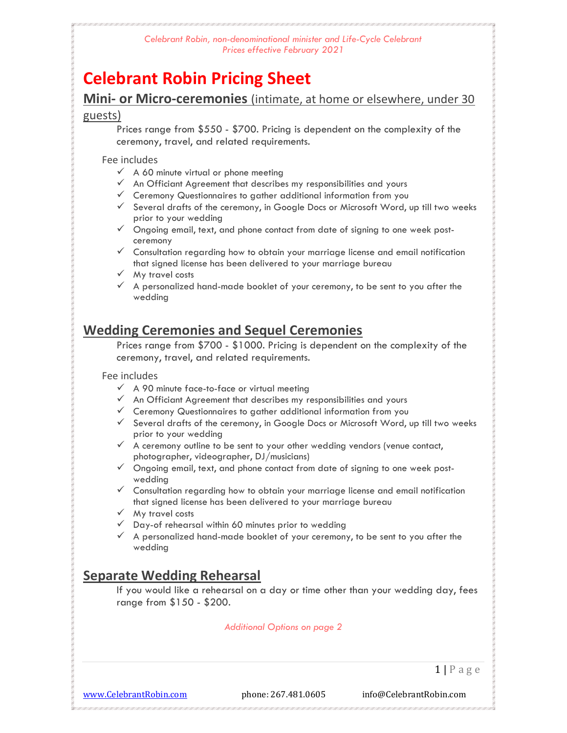# Celebrant Robin Pricing Sheet

Mini- or Micro-ceremonies (intimate, at home or elsewhere, under 30

#### guests)

Prices range from \$550 - \$700. Pricing is dependent on the complexity of the ceremony, travel, and related requirements.

#### Fee includes

- $\checkmark$  A 60 minute virtual or phone meeting
- $\checkmark$  An Officiant Agreement that describes my responsibilities and yours
- $\checkmark$  Ceremony Questionnaires to gather additional information from you
- $\checkmark$  Several drafts of the ceremony, in Google Docs or Microsoft Word, up till two weeks prior to your wedding
- $\checkmark$  Ongoing email, text, and phone contact from date of signing to one week postceremony
- $\checkmark$  Consultation regarding how to obtain your marriage license and email notification that signed license has been delivered to your marriage bureau
- $\checkmark$  My travel costs
- $\checkmark$  A personalized hand-made booklet of your ceremony, to be sent to you after the wedding

# Wedding Ceremonies and Sequel Ceremonies

Prices range from \$700 - \$1000. Pricing is dependent on the complexity of the ceremony, travel, and related requirements.

#### Fee includes

- $\checkmark$  A 90 minute face-to-face or virtual meeting
- $\checkmark$  An Officiant Agreement that describes my responsibilities and yours
- $\checkmark$  Ceremony Questionnaires to gather additional information from you
- $\checkmark$  Several drafts of the ceremony, in Google Docs or Microsoft Word, up till two weeks prior to your wedding
- $\checkmark$  A ceremony outline to be sent to your other wedding vendors (venue contact, photographer, videographer, DJ/musicians)
- $\checkmark$  Ongoing email, text, and phone contact from date of signing to one week postwedding
- $\checkmark$  Consultation regarding how to obtain your marriage license and email notification that signed license has been delivered to your marriage bureau
- $\checkmark$  My travel costs
- $\checkmark$  Day-of rehearsal within 60 minutes prior to wedding
- $\checkmark$  A personalized hand-made booklet of your ceremony, to be sent to you after the wedding

# Separate Wedding Rehearsal

If you would like a rehearsal on a day or time other than your wedding day, fees range from \$150 - \$200.

Additional Options on page 2